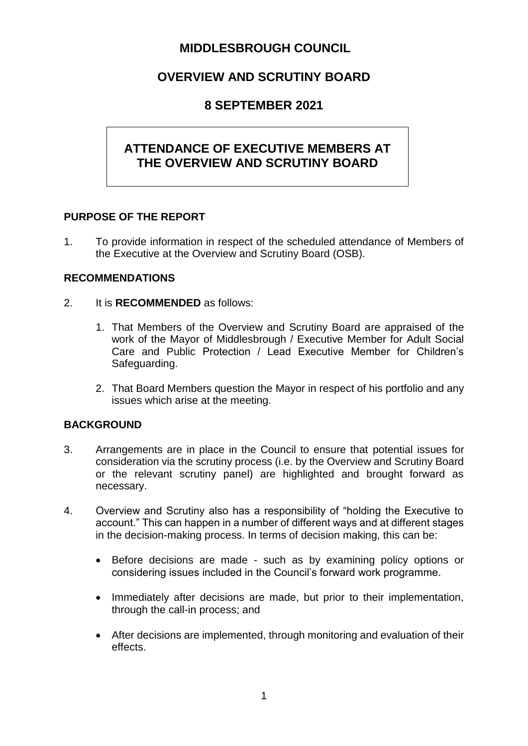## **MIDDLESBROUGH COUNCIL**

# **OVERVIEW AND SCRUTINY BOARD**

## **8 SEPTEMBER 2021**

# **ATTENDANCE OF EXECUTIVE MEMBERS AT THE OVERVIEW AND SCRUTINY BOARD**

## **PURPOSE OF THE REPORT**

1. To provide information in respect of the scheduled attendance of Members of the Executive at the Overview and Scrutiny Board (OSB).

## **RECOMMENDATIONS**

- 2. It is **RECOMMENDED** as follows:
	- 1. That Members of the Overview and Scrutiny Board are appraised of the work of the Mayor of Middlesbrough / Executive Member for Adult Social Care and Public Protection / Lead Executive Member for Children's Safeguarding.
	- 2. That Board Members question the Mayor in respect of his portfolio and any issues which arise at the meeting.

## **BACKGROUND**

- 3. Arrangements are in place in the Council to ensure that potential issues for consideration via the scrutiny process (i.e. by the Overview and Scrutiny Board or the relevant scrutiny panel) are highlighted and brought forward as necessary.
- 4. Overview and Scrutiny also has a responsibility of "holding the Executive to account." This can happen in a number of different ways and at different stages in the decision-making process. In terms of decision making, this can be:
	- Before decisions are made such as by examining policy options or considering issues included in the Council's forward work programme.
	- Immediately after decisions are made, but prior to their implementation, through the call-in process; and
	- After decisions are implemented, through monitoring and evaluation of their effects.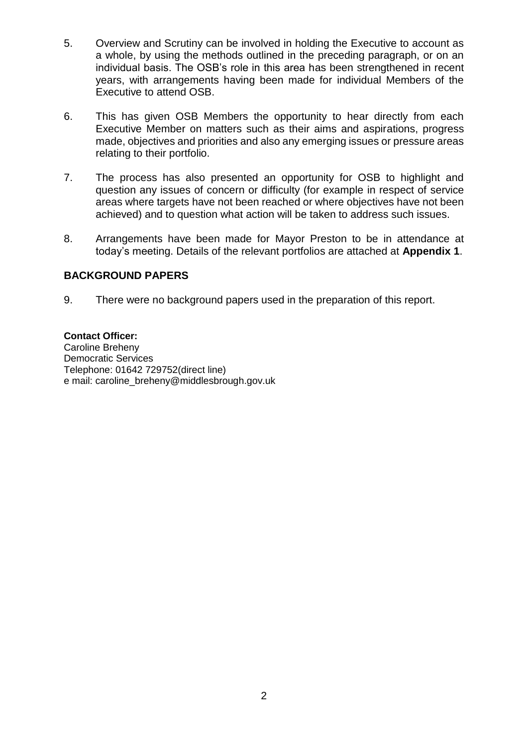- 5. Overview and Scrutiny can be involved in holding the Executive to account as a whole, by using the methods outlined in the preceding paragraph, or on an individual basis. The OSB's role in this area has been strengthened in recent years, with arrangements having been made for individual Members of the Executive to attend OSB.
- 6. This has given OSB Members the opportunity to hear directly from each Executive Member on matters such as their aims and aspirations, progress made, objectives and priorities and also any emerging issues or pressure areas relating to their portfolio.
- 7. The process has also presented an opportunity for OSB to highlight and question any issues of concern or difficulty (for example in respect of service areas where targets have not been reached or where objectives have not been achieved) and to question what action will be taken to address such issues.
- 8. Arrangements have been made for Mayor Preston to be in attendance at today's meeting. Details of the relevant portfolios are attached at **Appendix 1**.

## **BACKGROUND PAPERS**

9. There were no background papers used in the preparation of this report.

**Contact Officer:**  Caroline Breheny Democratic Services Telephone: 01642 729752(direct line) e mail: caroline\_breheny@middlesbrough.gov.uk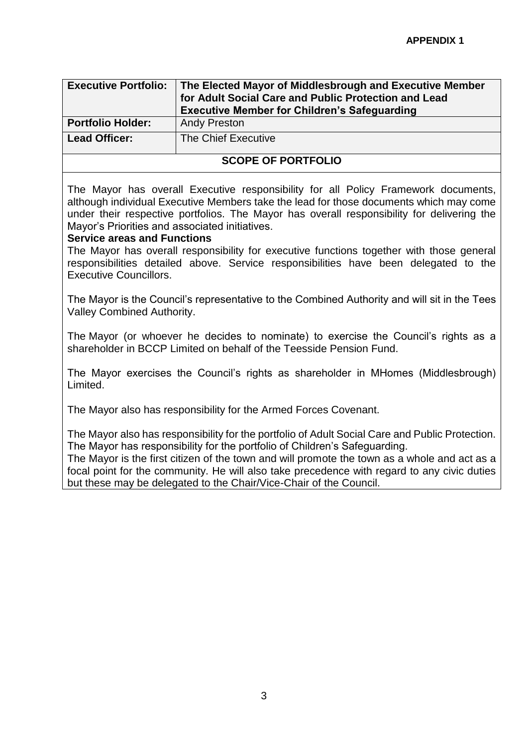| <b>Executive Portfolio:</b> | The Elected Mayor of Middlesbrough and Executive Member<br>for Adult Social Care and Public Protection and Lead<br><b>Executive Member for Children's Safeguarding</b> |  |
|-----------------------------|------------------------------------------------------------------------------------------------------------------------------------------------------------------------|--|
| <b>Portfolio Holder:</b>    | <b>Andy Preston</b>                                                                                                                                                    |  |
| <b>Lead Officer:</b>        | The Chief Executive                                                                                                                                                    |  |
| SCODE OF DODTEOUO           |                                                                                                                                                                        |  |

## **SCOPE OF PORTFOLIO**

The Mayor has overall Executive responsibility for all Policy Framework documents, although individual Executive Members take the lead for those documents which may come under their respective portfolios. The Mayor has overall responsibility for delivering the Mayor's Priorities and associated initiatives.

#### **Service areas and Functions**

The Mayor has overall responsibility for executive functions together with those general responsibilities detailed above. Service responsibilities have been delegated to the Executive Councillors.

The Mayor is the Council's representative to the Combined Authority and will sit in the Tees Valley Combined Authority.

The Mayor (or whoever he decides to nominate) to exercise the Council's rights as a shareholder in BCCP Limited on behalf of the Teesside Pension Fund.

The Mayor exercises the Council's rights as shareholder in MHomes (Middlesbrough) Limited.

The Mayor also has responsibility for the Armed Forces Covenant.

The Mayor also has responsibility for the portfolio of Adult Social Care and Public Protection. The Mayor has responsibility for the portfolio of Children's Safeguarding.

The Mayor is the first citizen of the town and will promote the town as a whole and act as a focal point for the community. He will also take precedence with regard to any civic duties but these may be delegated to the Chair/Vice-Chair of the Council.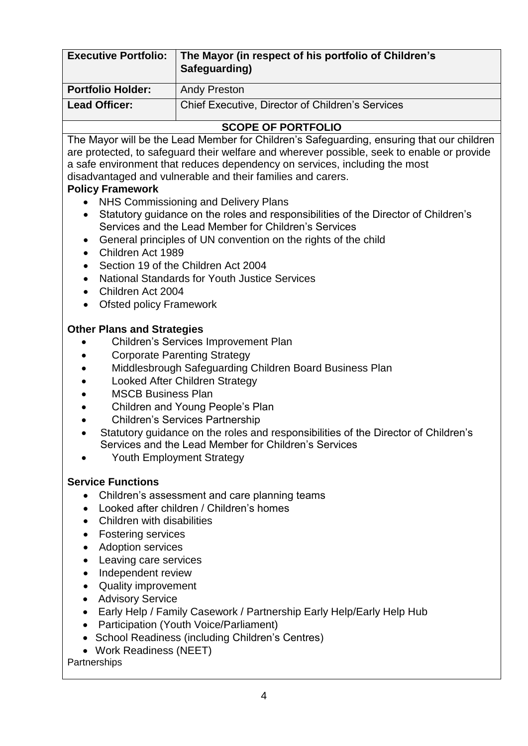| <b>Executive Portfolio:</b>                                                                                                                                                                                                                                                                                                                                                                                                                                                                                                                                                              | The Mayor (in respect of his portfolio of Children's<br>Safeguarding)                                                                                                                                                                                                                                                                                                                                                                                                                                                      |  |
|------------------------------------------------------------------------------------------------------------------------------------------------------------------------------------------------------------------------------------------------------------------------------------------------------------------------------------------------------------------------------------------------------------------------------------------------------------------------------------------------------------------------------------------------------------------------------------------|----------------------------------------------------------------------------------------------------------------------------------------------------------------------------------------------------------------------------------------------------------------------------------------------------------------------------------------------------------------------------------------------------------------------------------------------------------------------------------------------------------------------------|--|
| <b>Portfolio Holder:</b>                                                                                                                                                                                                                                                                                                                                                                                                                                                                                                                                                                 | <b>Andy Preston</b>                                                                                                                                                                                                                                                                                                                                                                                                                                                                                                        |  |
| <b>Lead Officer:</b>                                                                                                                                                                                                                                                                                                                                                                                                                                                                                                                                                                     | <b>Chief Executive, Director of Children's Services</b>                                                                                                                                                                                                                                                                                                                                                                                                                                                                    |  |
|                                                                                                                                                                                                                                                                                                                                                                                                                                                                                                                                                                                          | <b>SCOPE OF PORTFOLIO</b>                                                                                                                                                                                                                                                                                                                                                                                                                                                                                                  |  |
| <b>Policy Framework</b><br>$\bullet$<br>$\bullet$                                                                                                                                                                                                                                                                                                                                                                                                                                                                                                                                        | The Mayor will be the Lead Member for Children's Safeguarding, ensuring that our children<br>are protected, to safeguard their welfare and wherever possible, seek to enable or provide<br>a safe environment that reduces dependency on services, including the most<br>disadvantaged and vulnerable and their families and carers.<br>NHS Commissioning and Delivery Plans<br>Statutory guidance on the roles and responsibilities of the Director of Children's<br>Services and the Lead Member for Children's Services |  |
| General principles of UN convention on the rights of the child<br>$\bullet$<br>Children Act 1989<br>$\bullet$<br>Section 19 of the Children Act 2004<br>$\bullet$<br><b>National Standards for Youth Justice Services</b><br>$\bullet$<br>Children Act 2004<br>$\bullet$<br><b>Ofsted policy Framework</b><br>$\bullet$                                                                                                                                                                                                                                                                  |                                                                                                                                                                                                                                                                                                                                                                                                                                                                                                                            |  |
| <b>Other Plans and Strategies</b><br>Children's Services Improvement Plan<br><b>Corporate Parenting Strategy</b><br>Middlesbrough Safeguarding Children Board Business Plan<br>Looked After Children Strategy<br><b>MSCB Business Plan</b><br>Children and Young People's Plan<br><b>Children's Services Partnership</b><br>Statutory guidance on the roles and responsibilities of the Director of Children's<br>Services and the Lead Member for Children's Services<br><b>Youth Employment Strategy</b>                                                                               |                                                                                                                                                                                                                                                                                                                                                                                                                                                                                                                            |  |
| <b>Service Functions</b><br>Children's assessment and care planning teams<br>Looked after children / Children's homes<br>Children with disabilities<br><b>Fostering services</b><br>٠<br><b>Adoption services</b><br>$\bullet$<br>Leaving care services<br>٠<br>Independent review<br>٠<br>Quality improvement<br>$\bullet$<br><b>Advisory Service</b><br>Early Help / Family Casework / Partnership Early Help/Early Help Hub<br>$\bullet$<br>Participation (Youth Voice/Parliament)<br>School Readiness (including Children's Centres)<br><b>Work Readiness (NEET)</b><br>Partnerships |                                                                                                                                                                                                                                                                                                                                                                                                                                                                                                                            |  |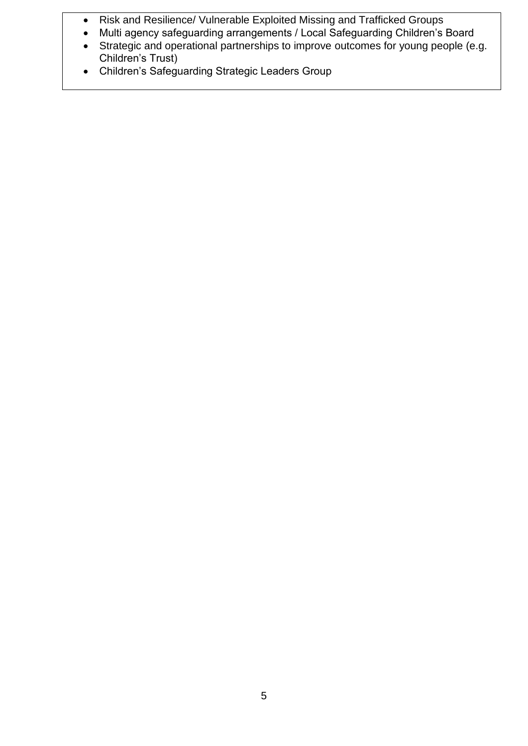- Risk and Resilience/ Vulnerable Exploited Missing and Trafficked Groups
- Multi agency safeguarding arrangements / Local Safeguarding Children's Board
- Strategic and operational partnerships to improve outcomes for young people (e.g. Children's Trust)
- Children's Safeguarding Strategic Leaders Group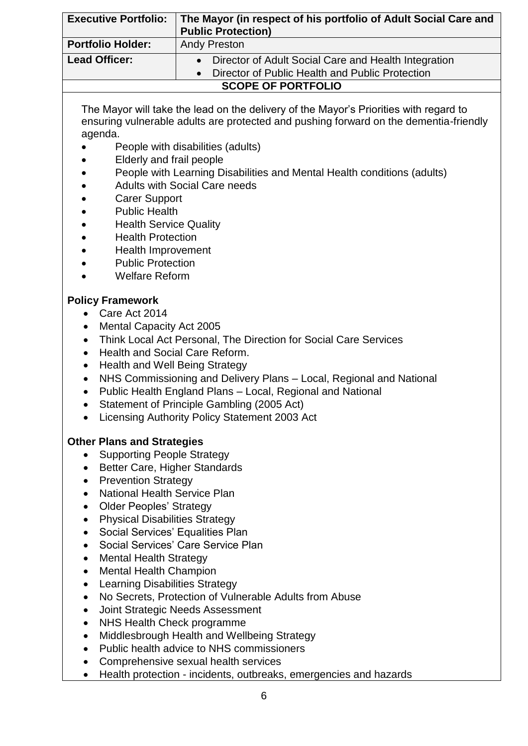| <b>Executive Portfolio:</b> | The Mayor (in respect of his portfolio of Adult Social Care and |
|-----------------------------|-----------------------------------------------------------------|
|                             | <b>Public Protection)</b>                                       |
| <b>Portfolio Holder:</b>    | <b>Andy Preston</b>                                             |
| <b>Lead Officer:</b>        | • Director of Adult Social Care and Health Integration          |
|                             | • Director of Public Health and Public Protection               |
| <b>SCOPE OF PORTFOLIO</b>   |                                                                 |

The Mayor will take the lead on the delivery of the Mayor's Priorities with regard to ensuring vulnerable adults are protected and pushing forward on the dementia-friendly agenda.

- People with disabilities (adults)
- Elderly and frail people
- People with Learning Disabilities and Mental Health conditions (adults)
- Adults with Social Care needs
- Carer Support
- Public Health
- Health Service Quality
- Health Protection
- Health Improvement
- Public Protection
- Welfare Reform

## **Policy Framework**

- Care Act 2014
- Mental Capacity Act 2005
- Think Local Act Personal, The Direction for Social Care Services
- Health and Social Care Reform.
- Health and Well Being Strategy
- NHS Commissioning and Delivery Plans Local, Regional and National
- Public Health England Plans Local, Regional and National
- Statement of Principle Gambling (2005 Act)
- Licensing Authority Policy Statement 2003 Act

## **Other Plans and Strategies**

- Supporting People Strategy
- Better Care, Higher Standards
- Prevention Strategy
- National Health Service Plan
- Older Peoples' Strategy
- Physical Disabilities Strategy
- Social Services' Equalities Plan
- Social Services' Care Service Plan
- Mental Health Strategy
- Mental Health Champion
- Learning Disabilities Strategy
- No Secrets, Protection of Vulnerable Adults from Abuse
- Joint Strategic Needs Assessment
- NHS Health Check programme
- Middlesbrough Health and Wellbeing Strategy
- Public health advice to NHS commissioners
- Comprehensive sexual health services
- Health protection incidents, outbreaks, emergencies and hazards